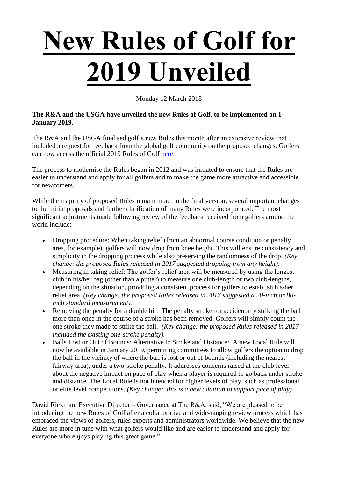## **New Rules of Golf for 2019 Unveiled**

Monday 12 March 2018

## **The R&A and the USGA have unveiled the new Rules of Golf, to be implemented on 1 January 2019.**

The R&A and the USGA finalised golf's new Rules this month after an extensive review that included a request for feedback from the global golf community on the proposed changes. Golfers can now access the official 2019 Rules of Golf [here.](https://www.rules.golf/)

The process to modernise the Rules began in 2012 and was initiated to ensure that the Rules are easier to understand and apply for all golfers and to make the game more attractive and accessible for newcomers.

While the majority of proposed Rules remain intact in the final version, several important changes to the initial proposals and further clarification of many Rules were incorporated. The most significant adjustments made following review of the feedback received from golfers around the world include:

- Dropping procedure: When taking relief (from an abnormal course condition or penalty area, for example), golfers will now drop from knee height. This will ensure consistency and simplicity in the dropping process while also preserving the randomness of the drop. *(Key change: the proposed Rules released in 2017 suggested dropping from any height).*
- Measuring in taking relief: The golfer's relief area will be measured by using the longest club in his/her bag (other than a putter) to measure one club-length or two club-lengths, depending on the situation, providing a consistent process for golfers to establish his/her relief area. *(Key change: the proposed Rules released in 2017 suggested a 20-inch or 80 inch standard measurement).*
- Removing the penalty for a double hit: The penalty stroke for accidentally striking the ball more than once in the course of a stroke has been removed. Golfers will simply count the one stroke they made to strike the ball. *(Key change: the proposed Rules released in 2017 included the existing one-stroke penalty).*
- Balls Lost or Out of Bounds: Alternative to Stroke and Distance: A new Local Rule will now be available in January 2019, permitting committees to allow golfers the option to drop the ball in the vicinity of where the ball is lost or out of bounds (including the nearest fairway area), under a two-stroke penalty. It addresses concerns raised at the club level about the negative impact on pace of play when a player is required to go back under stroke and distance. The Local Rule is not intended for higher levels of play, such as professional or elite level competitions. *(Key change: this is a new addition to support pace of play)*

David Rickman, Executive Director – Governance at The R&A, said, "We are pleased to be introducing the new Rules of Golf after a collaborative and wide-ranging review process which has embraced the views of golfers, rules experts and administrators worldwide. We believe that the new Rules are more in tune with what golfers would like and are easier to understand and apply for everyone who enjoys playing this great game."